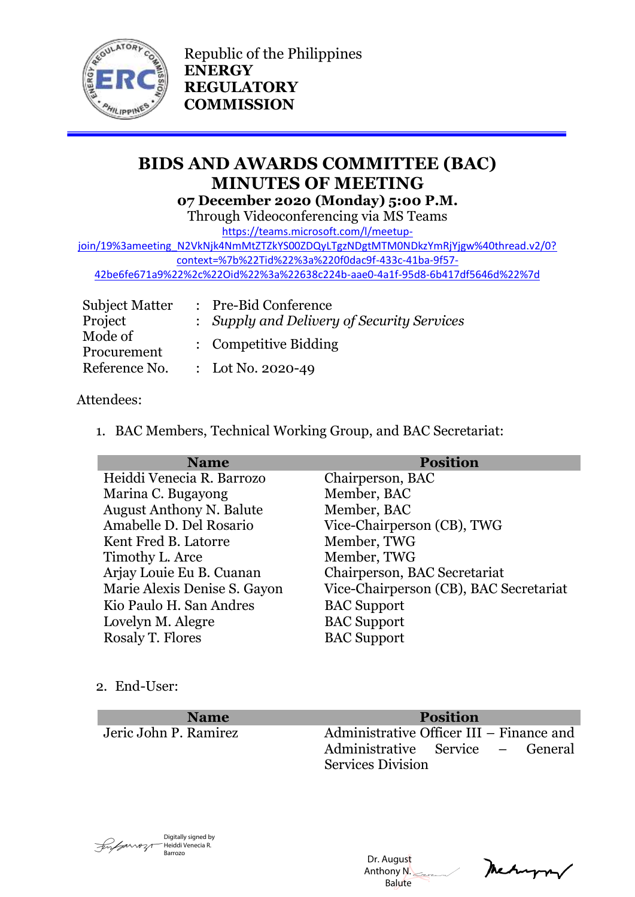

Republic of the Philippines **ENERGY REGULATORY COMMISSION**

# **BIDS AND AWARDS COMMITTEE (BAC) MINUTES OF MEETING 07 December 2020 (Monday) 5:00 P.M.**

Through Videoconferencing via MS Teams

[https://teams.microsoft.com/l/meetup-](https://teams.microsoft.com/l/meetup-join/19%3ameeting_N2VkNjk4NmMtZTZkYS00ZDQyLTgzNDgtMTM0NDkzYmRjYjgw%40thread.v2/0?context=%7b%22Tid%22%3a%220f0dac9f-433c-41ba-9f57-42be6fe671a9%22%2c%22Oid%22%3a%22638c224b-aae0-4a1f-95d8-6b417df5646d%22%7d)

[join/19%3ameeting\\_N2VkNjk4NmMtZTZkYS00ZDQyLTgzNDgtMTM0NDkzYmRjYjgw%40thread.v2/0?](https://teams.microsoft.com/l/meetup-join/19%3ameeting_N2VkNjk4NmMtZTZkYS00ZDQyLTgzNDgtMTM0NDkzYmRjYjgw%40thread.v2/0?context=%7b%22Tid%22%3a%220f0dac9f-433c-41ba-9f57-42be6fe671a9%22%2c%22Oid%22%3a%22638c224b-aae0-4a1f-95d8-6b417df5646d%22%7d) [context=%7b%22Tid%22%3a%220f0dac9f-433c-41ba-9f57-](https://teams.microsoft.com/l/meetup-join/19%3ameeting_N2VkNjk4NmMtZTZkYS00ZDQyLTgzNDgtMTM0NDkzYmRjYjgw%40thread.v2/0?context=%7b%22Tid%22%3a%220f0dac9f-433c-41ba-9f57-42be6fe671a9%22%2c%22Oid%22%3a%22638c224b-aae0-4a1f-95d8-6b417df5646d%22%7d)

[42be6fe671a9%22%2c%22Oid%22%3a%22638c224b-aae0-4a1f-95d8-6b417df5646d%22%7d](https://teams.microsoft.com/l/meetup-join/19%3ameeting_N2VkNjk4NmMtZTZkYS00ZDQyLTgzNDgtMTM0NDkzYmRjYjgw%40thread.v2/0?context=%7b%22Tid%22%3a%220f0dac9f-433c-41ba-9f57-42be6fe671a9%22%2c%22Oid%22%3a%22638c224b-aae0-4a1f-95d8-6b417df5646d%22%7d)

| <b>Subject Matter</b>  | : Pre-Bid Conference                       |
|------------------------|--------------------------------------------|
| Project                | : Supply and Delivery of Security Services |
| Mode of<br>Procurement | : Competitive Bidding                      |
| Reference No.          | : Lot No. 2020-49                          |

# Attendees:

1. BAC Members, Technical Working Group, and BAC Secretariat:

| <b>Name</b>                     | <b>Position</b>                        |
|---------------------------------|----------------------------------------|
| Heiddi Venecia R. Barrozo       | Chairperson, BAC                       |
| Marina C. Bugayong              | Member, BAC                            |
| <b>August Anthony N. Balute</b> | Member, BAC                            |
| Amabelle D. Del Rosario         | Vice-Chairperson (CB), TWG             |
| Kent Fred B. Latorre            | Member, TWG                            |
| Timothy L. Arce                 | Member, TWG                            |
| Arjay Louie Eu B. Cuanan        | Chairperson, BAC Secretariat           |
| Marie Alexis Denise S. Gayon    | Vice-Chairperson (CB), BAC Secretariat |
| Kio Paulo H. San Andres         | <b>BAC</b> Support                     |
| Lovelyn M. Alegre               | <b>BAC</b> Support                     |
| Rosaly T. Flores                | <b>BAC</b> Support                     |

# 2. End-User:

**Name Position**

Jeric John P. Ramirez Administrative Officer III – Finance and Administrative Service – General Services Division



 Dr. August Anthony N. **Balute** 

metryn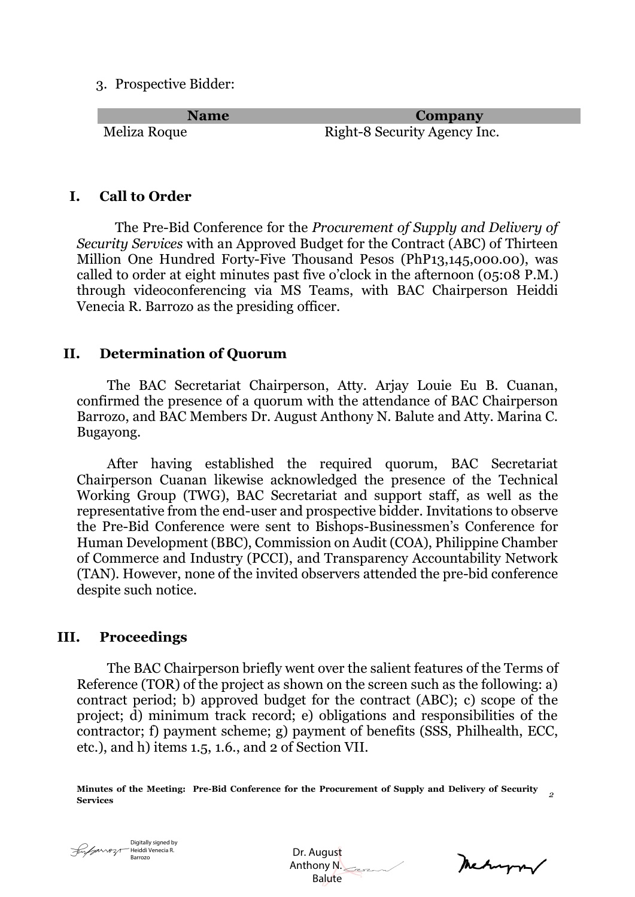3. Prospective Bidder:

**Name Company** Meliza Roque Right-8 Security Agency Inc.

# **I. Call to Order**

The Pre-Bid Conference for the *Procurement of Supply and Delivery of Security Services* with an Approved Budget for the Contract (ABC) of Thirteen Million One Hundred Forty-Five Thousand Pesos (PhP13,145,000.00), was called to order at eight minutes past five o'clock in the afternoon (05:08 P.M.) through videoconferencing via MS Teams, with BAC Chairperson Heiddi Venecia R. Barrozo as the presiding officer.

#### **II. Determination of Quorum**

The BAC Secretariat Chairperson, Atty. Arjay Louie Eu B. Cuanan, confirmed the presence of a quorum with the attendance of BAC Chairperson Barrozo, and BAC Members Dr. August Anthony N. Balute and Atty. Marina C. Bugayong.

After having established the required quorum, BAC Secretariat Chairperson Cuanan likewise acknowledged the presence of the Technical Working Group (TWG), BAC Secretariat and support staff, as well as the representative from the end-user and prospective bidder. Invitations to observe the Pre-Bid Conference were sent to Bishops-Businessmen's Conference for Human Development (BBC), Commission on Audit (COA), Philippine Chamber of Commerce and Industry (PCCI), and Transparency Accountability Network (TAN). However, none of the invited observers attended the pre-bid conference despite such notice.

#### **III. Proceedings**

The BAC Chairperson briefly went over the salient features of the Terms of Reference (TOR) of the project as shown on the screen such as the following: a) contract period; b) approved budget for the contract (ABC); c) scope of the project; d) minimum track record; e) obligations and responsibilities of the contractor; f) payment scheme; g) payment of benefits (SSS, Philhealth, ECC, etc.), and h) items 1.5, 1.6., and 2 of Section VII.

**Minutes of the Meeting: Pre-Bid Conference for the Procurement of Supply and Delivery of Security Services** *<sup>2</sup>*



 Dr. August Anthony N. Balute

metryon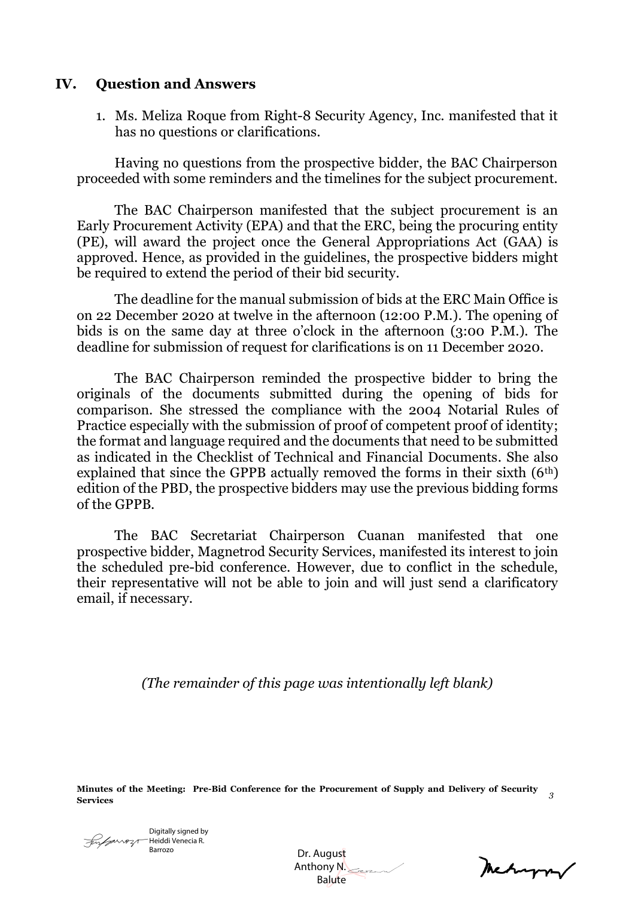# **IV. Question and Answers**

1. Ms. Meliza Roque from Right-8 Security Agency, Inc. manifested that it has no questions or clarifications.

Having no questions from the prospective bidder, the BAC Chairperson proceeded with some reminders and the timelines for the subject procurement.

The BAC Chairperson manifested that the subject procurement is an Early Procurement Activity (EPA) and that the ERC, being the procuring entity (PE), will award the project once the General Appropriations Act (GAA) is approved. Hence, as provided in the guidelines, the prospective bidders might be required to extend the period of their bid security.

The deadline for the manual submission of bids at the ERC Main Office is on 22 December 2020 at twelve in the afternoon (12:00 P.M.). The opening of bids is on the same day at three o'clock in the afternoon (3:00 P.M.). The deadline for submission of request for clarifications is on 11 December 2020.

The BAC Chairperson reminded the prospective bidder to bring the originals of the documents submitted during the opening of bids for comparison. She stressed the compliance with the 2004 Notarial Rules of Practice especially with the submission of proof of competent proof of identity; the format and language required and the documents that need to be submitted as indicated in the Checklist of Technical and Financial Documents. She also explained that since the GPPB actually removed the forms in their sixth  $(6<sup>th</sup>)$ edition of the PBD, the prospective bidders may use the previous bidding forms of the GPPB.

The BAC Secretariat Chairperson Cuanan manifested that one prospective bidder, Magnetrod Security Services, manifested its interest to join the scheduled pre-bid conference. However, due to conflict in the schedule, their representative will not be able to join and will just send a clarificatory email, if necessary.

*(The remainder of this page was intentionally left blank)*

**Minutes of the Meeting: Pre-Bid Conference for the Procurement of Supply and Delivery of Security Services** *<sup>3</sup>*

Digitally signed by Heiddi Venecia R. Fugurozo Barrozo

 Dr. August Anthony N. **Balute** 

Mehappy